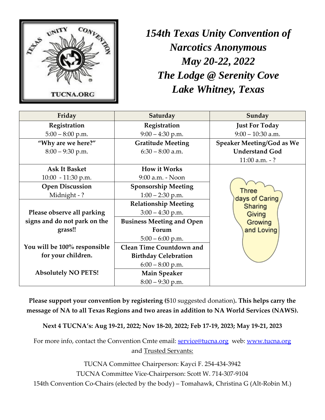

*154th Texas Unity Convention of Narcotics Anonymous May 20-22, 2022 The Lodge @ Serenity Cove Lake Whitney, Texas*

| Friday                       | Saturday                         | Sunday                                                                |  |
|------------------------------|----------------------------------|-----------------------------------------------------------------------|--|
| Registration                 | Registration                     | <b>Just For Today</b>                                                 |  |
| $5:00 - 8:00$ p.m.           | $9:00 - 4:30$ p.m.               | $9:00 - 10:30$ a.m.                                                   |  |
| "Why are we here?"           | <b>Gratitude Meeting</b>         | Speaker Meeting/God as We                                             |  |
| $8:00 - 9:30$ p.m.           | $6:30 - 8:00$ a.m.               | <b>Understand God</b>                                                 |  |
|                              |                                  | $11:00$ a.m. -?                                                       |  |
| <b>Ask It Basket</b>         | <b>How it Works</b>              |                                                                       |  |
| $10:00 - 11:30$ p.m.         | 9:00 a.m. - Noon                 | Three<br>days of Caring<br>Sharing<br>Giving<br>Growing<br>and Loving |  |
| <b>Open Discussion</b>       | <b>Sponsorship Meeting</b>       |                                                                       |  |
| Midnight -?                  | $1:00 - 2:30$ p.m.               |                                                                       |  |
|                              | <b>Relationship Meeting</b>      |                                                                       |  |
| Please observe all parking   | $3:00 - 4:30$ p.m.               |                                                                       |  |
| signs and do not park on the | <b>Business Meeting and Open</b> |                                                                       |  |
| grass!!                      | Forum                            |                                                                       |  |
|                              | $5:00 - 6:00$ p.m.               |                                                                       |  |
| You will be 100% responsible | <b>Clean Time Countdown and</b>  |                                                                       |  |
| for your children.           | <b>Birthday Celebration</b>      |                                                                       |  |
|                              | $6:00 - 8:00$ p.m.               |                                                                       |  |
| <b>Absolutely NO PETS!</b>   | <b>Main Speaker</b>              |                                                                       |  |
|                              | $8:00 - 9:30$ p.m.               |                                                                       |  |

**Please support your convention by registering (**\$10 suggested donation)**. This helps carry the message of NA to all Texas Regions and two areas in addition to NA World Services (NAWS).**

**Next 4 TUCNA's: Aug 19-21, 2022; Nov 18-20, 2022; Feb 17-19, 2023; May 19-21, 2023**

For more info, contact the Convention Cmte email: **service@tucna.org** web: **www.tucna.org** and Trusted Servants:

TUCNA Committee Chairperson: Kayci F. 254-434-3942

TUCNA Committee Vice-Chairperson: Scott W. 714-307-9104

154th Convention Co-Chairs (elected by the body) – Tomahawk, Christina G (Alt-Robin M.)